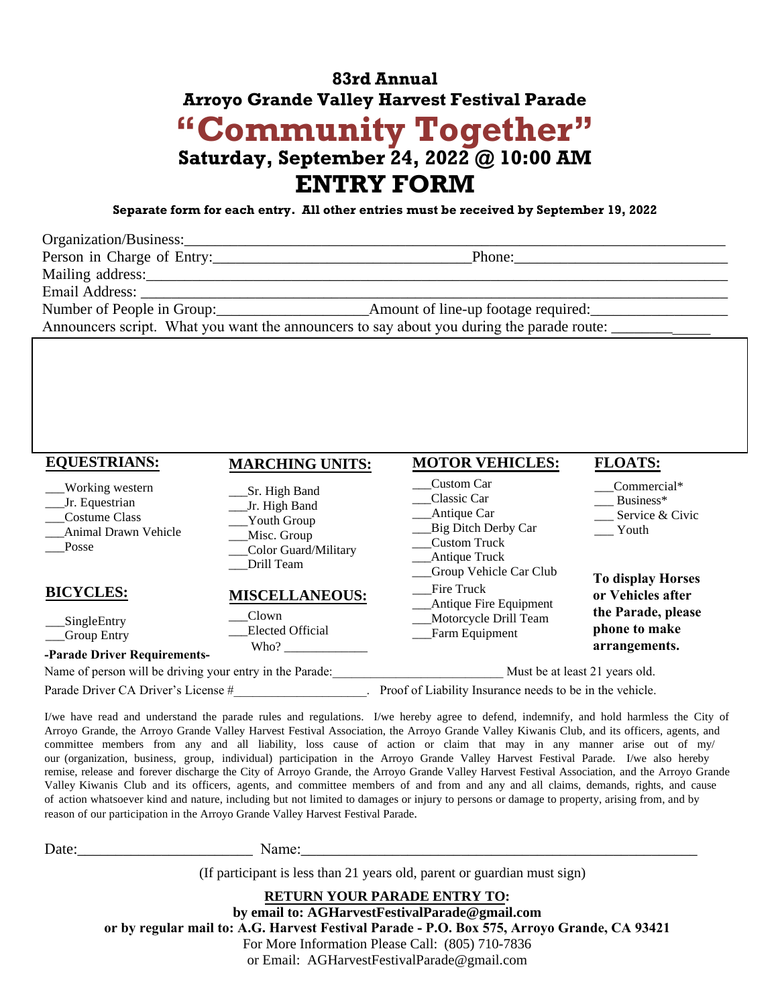# **83rd Annual Arroyo Grande Valley Harvest Festival Parade "Community Together" Saturday, September 24, 2022 @ 10:00 AM ENTRY FORM**

**Separate form for each entry. All other entries must be received by September 19, 2022**

| Organization/Business:                                                                                                                                                                                                         |                                                                                                     |
|--------------------------------------------------------------------------------------------------------------------------------------------------------------------------------------------------------------------------------|-----------------------------------------------------------------------------------------------------|
| Person in Charge of Entry:                                                                                                                                                                                                     |                                                                                                     |
|                                                                                                                                                                                                                                |                                                                                                     |
| Email Address: No. 1996. The Contract of the Contract of the Contract of the Contract of the Contract of the Contract of the Contract of the Contract of the Contract of the Contract of the Contract of the Contract of the C |                                                                                                     |
|                                                                                                                                                                                                                                |                                                                                                     |
|                                                                                                                                                                                                                                | Announcers script. What you want the announcers to say about you during the parade route: _________ |
|                                                                                                                                                                                                                                |                                                                                                     |
|                                                                                                                                                                                                                                |                                                                                                     |
|                                                                                                                                                                                                                                |                                                                                                     |
|                                                                                                                                                                                                                                |                                                                                                     |
|                                                                                                                                                                                                                                |                                                                                                     |

| <b>EQUESTRIANS:</b>                                                                 | <b>MARCHING UNITS:</b>                                                                             | <b>MOTOR VEHICLES:</b>                                                                                                                     | <b>FLOATS:</b>                                       |
|-------------------------------------------------------------------------------------|----------------------------------------------------------------------------------------------------|--------------------------------------------------------------------------------------------------------------------------------------------|------------------------------------------------------|
| Working western<br>Jr. Equestrian<br>Costume Class<br>Animal Drawn Vehicle<br>Posse | Sr. High Band<br>Jr. High Band<br>Youth Group<br>Misc. Group<br>Color Guard/Military<br>Drill Team | Custom Car<br>Classic Car<br>Antique Car<br>Big Ditch Derby Car<br><b>Custom Truck</b><br>__Antique Truck<br><b>Group Vehicle Car Club</b> | Commercial*<br>Business*<br>Service & Civic<br>Youth |
| <b>BICYCLES:</b>                                                                    | <b>MISCELLANEOUS:</b>                                                                              | Fire Truck<br>Antique Fire Equipment                                                                                                       | <b>To display Horses</b><br>or Vehicles after        |
| SingleEntry<br><b>Group Entry</b><br>-Parade Driver Requirements-                   | Clown<br><b>Elected Official</b><br>Who?                                                           | Motorcycle Drill Team<br>Farm Equipment                                                                                                    | the Parade, please<br>phone to make<br>arrangements. |
| Name of person will be driving your entry in the Parade:                            |                                                                                                    | Must be at least 21 years old.                                                                                                             |                                                      |
| Parade Driver CA Driver's License #                                                 |                                                                                                    | Proof of Liability Insurance needs to be in the vehicle.                                                                                   |                                                      |

I/we have read and understand the parade rules and regulations. I/we hereby agree to defend, indemnify, and hold harmless the City of Arroyo Grande, the Arroyo Grande Valley Harvest Festival Association, the Arroyo Grande Valley Kiwanis Club, and its officers, agents, and committee members from any and all liability, loss cause of action or claim that may in any manner arise out of my/ our (organization, business, group, individual) participation in the Arroyo Grande Valley Harvest Festival Parade. I/we also hereby remise, release and forever discharge the City of Arroyo Grande, the Arroyo Grande Valley Harvest Festival Association, and the Arroyo Grande Valley Kiwanis Club and its officers, agents, and committee members of and from and any and all claims, demands, rights, and cause of action whatsoever kind and nature, including but not limited to damages or injury to persons or damage to property, arising from, and by reason of our participation in the Arroyo Grande Valley Harvest Festival Parade.

| D<br>19fe' | ъ.<br>√amer |
|------------|-------------|
|            |             |

(If participant is less than 21 years old, parent or guardian must sign)

**RETURN YOUR PARADE ENTRY TO: by email to: AGHarvestFestivalParade@gmail.com or by regular mail to: A.G. Harvest Festival Parade - P.O. Box 575, Arroyo Grande, CA 93421** For More Information Please Call: (805) 710-7836 or Email: AGHarvestFestivalParade@gmail.com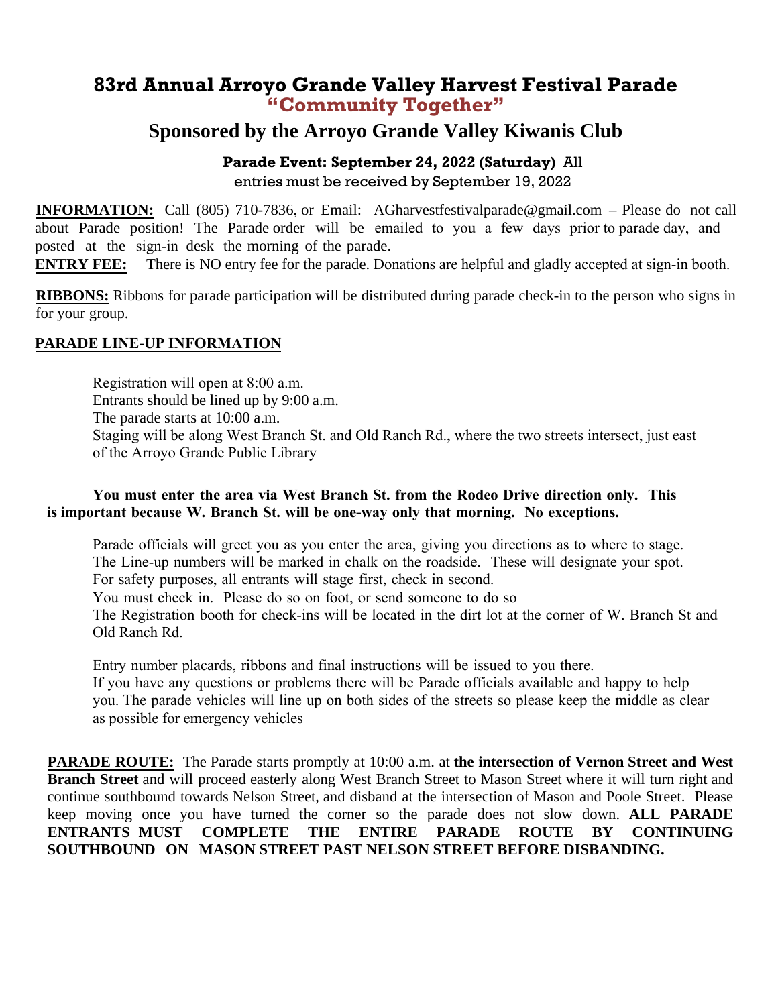## **83rd Annual Arroyo Grande Valley Harvest Festival Parade "Community Together"**

## **Sponsored by the Arroyo Grande Valley Kiwanis Club**

### **Parade Event: September 24, 2022 (Saturday)** All entries must be received by September 19, 2022

**INFORMATION:** Call (805) 710-7836, or Email: AGharvestfestivalparade@gmail.com – Please do not call about Parade position! The Parade order will be emailed to you a few days prior to parade day, and posted at the sign-in desk the morning of the parade.

**ENTRY FEE:** There is NO entry fee for the parade. Donations are helpful and gladly accepted at sign-in booth.

**RIBBONS:** Ribbons for parade participation will be distributed during parade check-in to the person who signs in for your group.

### **PARADE LINE-UP INFORMATION**

Registration will open at 8:00 a.m. Entrants should be lined up by 9:00 a.m. The parade starts at 10:00 a.m. Staging will be along West Branch St. and Old Ranch Rd., where the two streets intersect, just east of the Arroyo Grande Public Library

#### **You must enter the area via West Branch St. from the Rodeo Drive direction only. This is important because W. Branch St. will be one-way only that morning. No exceptions.**

Parade officials will greet you as you enter the area, giving you directions as to where to stage. The Line-up numbers will be marked in chalk on the roadside. These will designate your spot. For safety purposes, all entrants will stage first, check in second. You must check in. Please do so on foot, or send someone to do so The Registration booth for check-ins will be located in the dirt lot at the corner of W. Branch St and Old Ranch Rd.

Entry number placards, ribbons and final instructions will be issued to you there. If you have any questions or problems there will be Parade officials available and happy to help you. The parade vehicles will line up on both sides of the streets so please keep the middle as clear as possible for emergency vehicles

**PARADE ROUTE:** The Parade starts promptly at 10:00 a.m. at **the intersection of Vernon Street and West Branch Street** and will proceed easterly along West Branch Street to Mason Street where it will turn right and continue southbound towards Nelson Street, and disband at the intersection of Mason and Poole Street. Please keep moving once you have turned the corner so the parade does not slow down. **ALL PARADE ENTRANTS MUST COMPLETE THE ENTIRE PARADE ROUTE BY CONTINUING SOUTHBOUND ON MASON STREET PAST NELSON STREET BEFORE DISBANDING.**